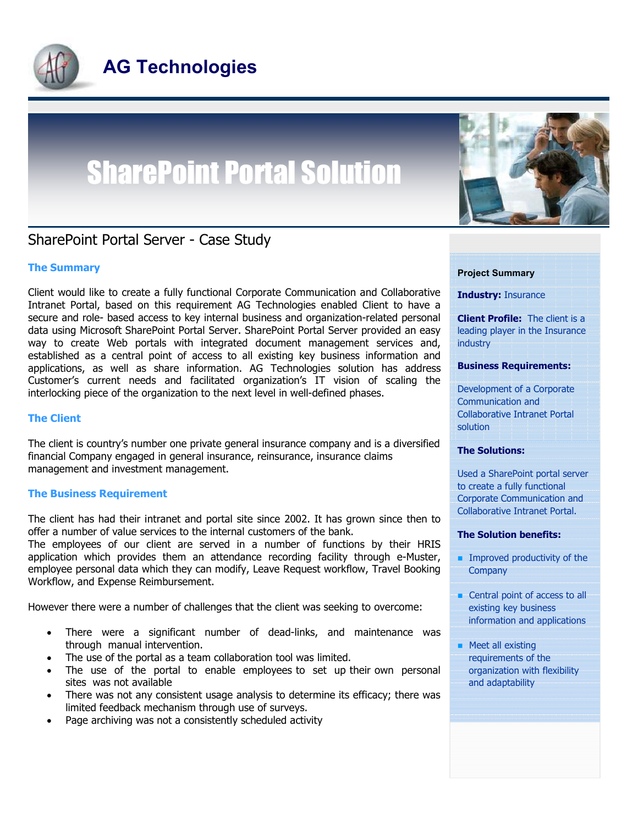

# SharePoint Portal Solution



## SharePoint Portal Server - Case Study

## The Summary

Client would like to create a fully functional Corporate Communication and Collaborative Intranet Portal, based on this requirement AG Technologies enabled Client to have a secure and role- based access to key internal business and organization-related personal data using Microsoft SharePoint Portal Server. SharePoint Portal Server provided an easy way to create Web portals with integrated document management services and, established as a central point of access to all existing key business information and applications, as well as share information. AG Technologies solution has address Customer's current needs and facilitated organization's IT vision of scaling the interlocking piece of the organization to the next level in well-defined phases.

#### The Client

The client is country's number one private general insurance company and is a diversified financial Company engaged in general insurance, reinsurance, insurance claims management and investment management.

#### The Business Requirement

The client has had their intranet and portal site since 2002. It has grown since then to offer a number of value services to the internal customers of the bank.

The employees of our client are served in a number of functions by their HRIS application which provides them an attendance recording facility through e-Muster, employee personal data which they can modify, Leave Request workflow, Travel Booking Workflow, and Expense Reimbursement.

However there were a number of challenges that the client was seeking to overcome:

- There were a significant number of dead-links, and maintenance was through manual intervention.
- The use of the portal as a team collaboration tool was limited.
- The use of the portal to enable employees to set up their own personal sites was not available
- There was not any consistent usage analysis to determine its efficacy; there was limited feedback mechanism through use of surveys.
- Page archiving was not a consistently scheduled activity

#### Project Summary

Industry: Insurance

**Client Profile:** The client is a leading player in the Insurance industry

#### Business Requirements:

Development of a Corporate Communication and Collaborative Intranet Portal solution

#### The Solutions:

Used a SharePoint portal server to create a fully functional Corporate Communication and Collaborative Intranet Portal.

#### The Solution benefits:

- $\blacksquare$  Improved productivity of the **Company**
- Central point of access to all existing key business information and applications
- **Meet all existing** requirements of the organization with flexibility and adaptability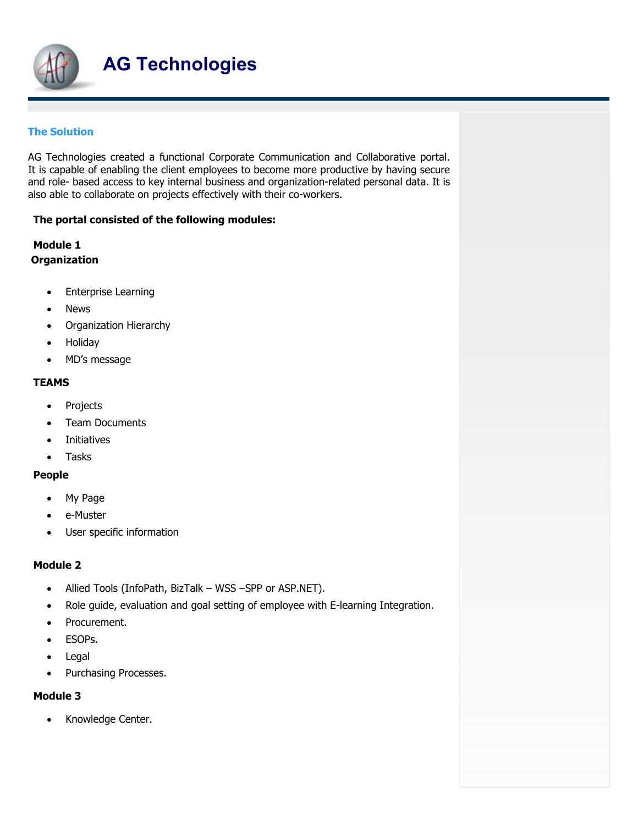

## The Solution

AG Technologies created a functional Corporate Communication and Collaborative portal. It is capable of enabling the client employees to become more productive by having secure and role- based access to key internal business and organization-related personal data. It is also able to collaborate on projects effectively with their co-workers.

## The portal consisted of the following modules:

## Module 1 **Organization**

- Enterprise Learning
- News
- Organization Hierarchy
- Holiday
- MD's message

## **TEAMS**

- Projects
- Team Documents
- Initiatives
- Tasks

## People

- My Page
- e-Muster
- User specific information

## Module 2

- Allied Tools (InfoPath, BizTalk WSS –SPP or ASP.NET).
- Role guide, evaluation and goal setting of employee with E-learning Integration.
- Procurement.
- ESOPs.
- Legal
- Purchasing Processes.

## Module 3

• Knowledge Center.